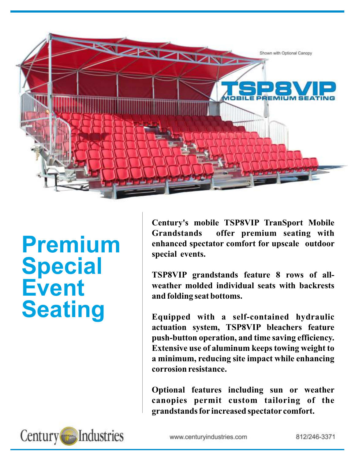

# **Premium Special Event Seating**

**Century's mobile TSP8VIP TranSport Mobile Grandstands offer premium seating with enhanced spectator comfort for upscale outdoor special events.**

**TSP8VIP grandstands feature 8 rows of allweather molded individual seats with backrests and folding seat bottoms.**

**Equipped with a self-contained hydraulic actuation system, TSP8VIP bleachers feature push-button operation, and time saving efficiency. Extensive use of aluminum keeps towing weight to a minimum, reducing site impact while enhancing corrosion resistance.**

**Optional features including sun or weather canopies permit custom tailoring of the grandstands for increased spectator comfort.**



www.centuryindustries.com